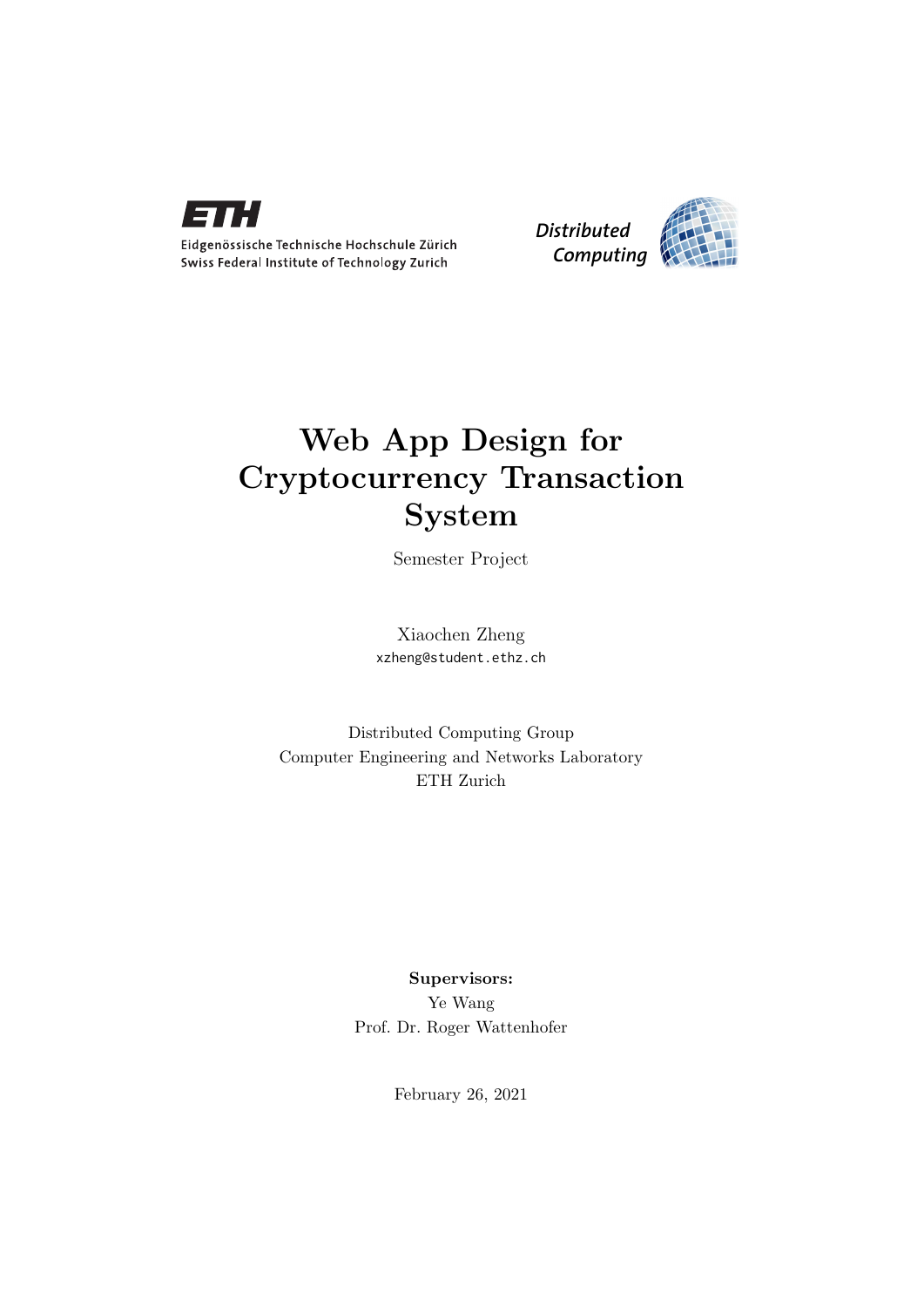

Eidgenössische Technische Hochschule Zürich Swiss Federal Institute of Technology Zurich



# Web App Design for Cryptocurrency Transaction System

Semester Project

Xiaochen Zheng xzheng@student.ethz.ch

Distributed Computing Group Computer Engineering and Networks Laboratory ETH Zurich

> Supervisors: Ye Wang Prof. Dr. Roger Wattenhofer

> > February 26, 2021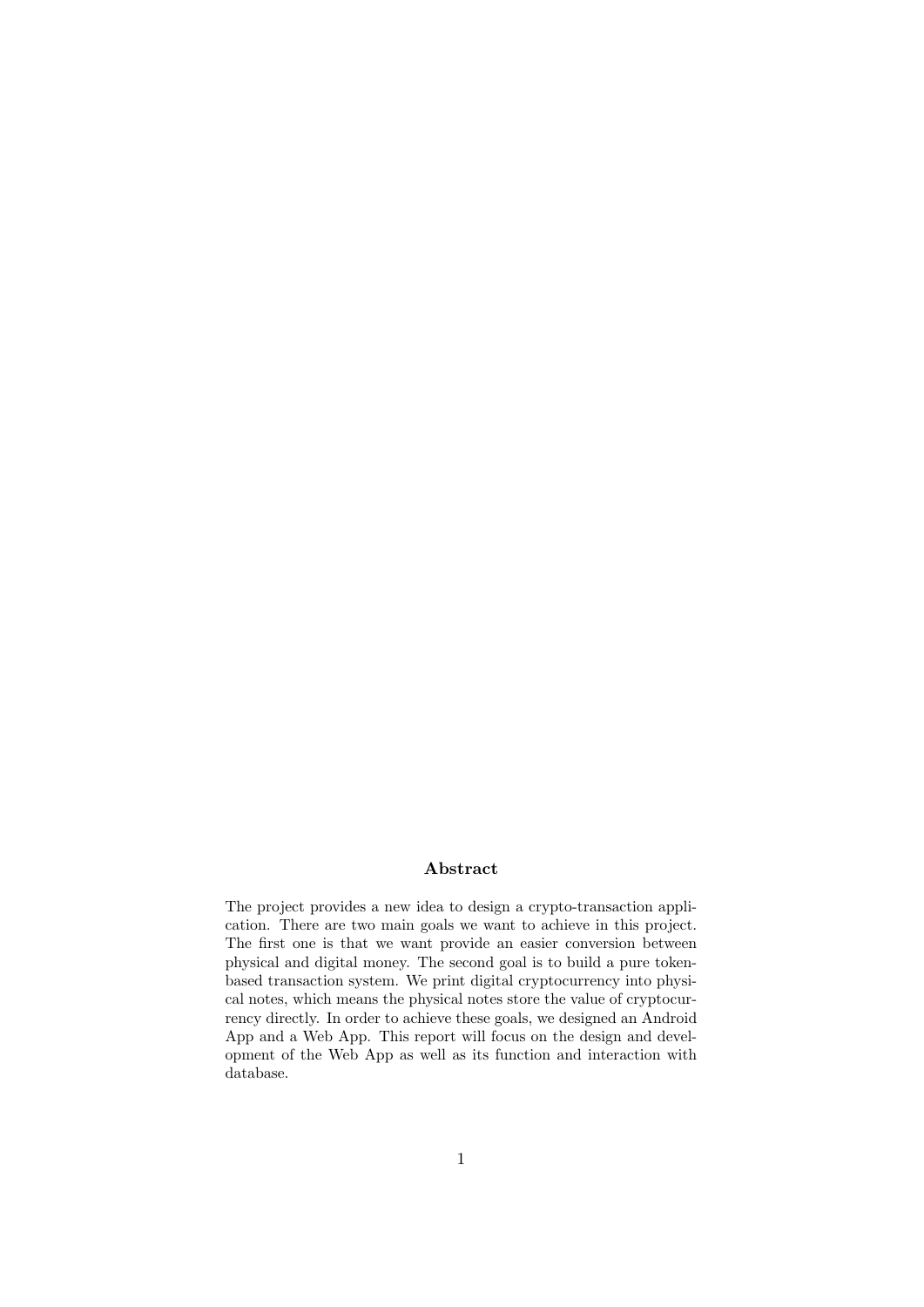## Abstract

The project provides a new idea to design a crypto-transaction application. There are two main goals we want to achieve in this project. The first one is that we want provide an easier conversion between physical and digital money. The second goal is to build a pure tokenbased transaction system. We print digital cryptocurrency into physical notes, which means the physical notes store the value of cryptocurrency directly. In order to achieve these goals, we designed an Android App and a Web App. This report will focus on the design and development of the Web App as well as its function and interaction with database.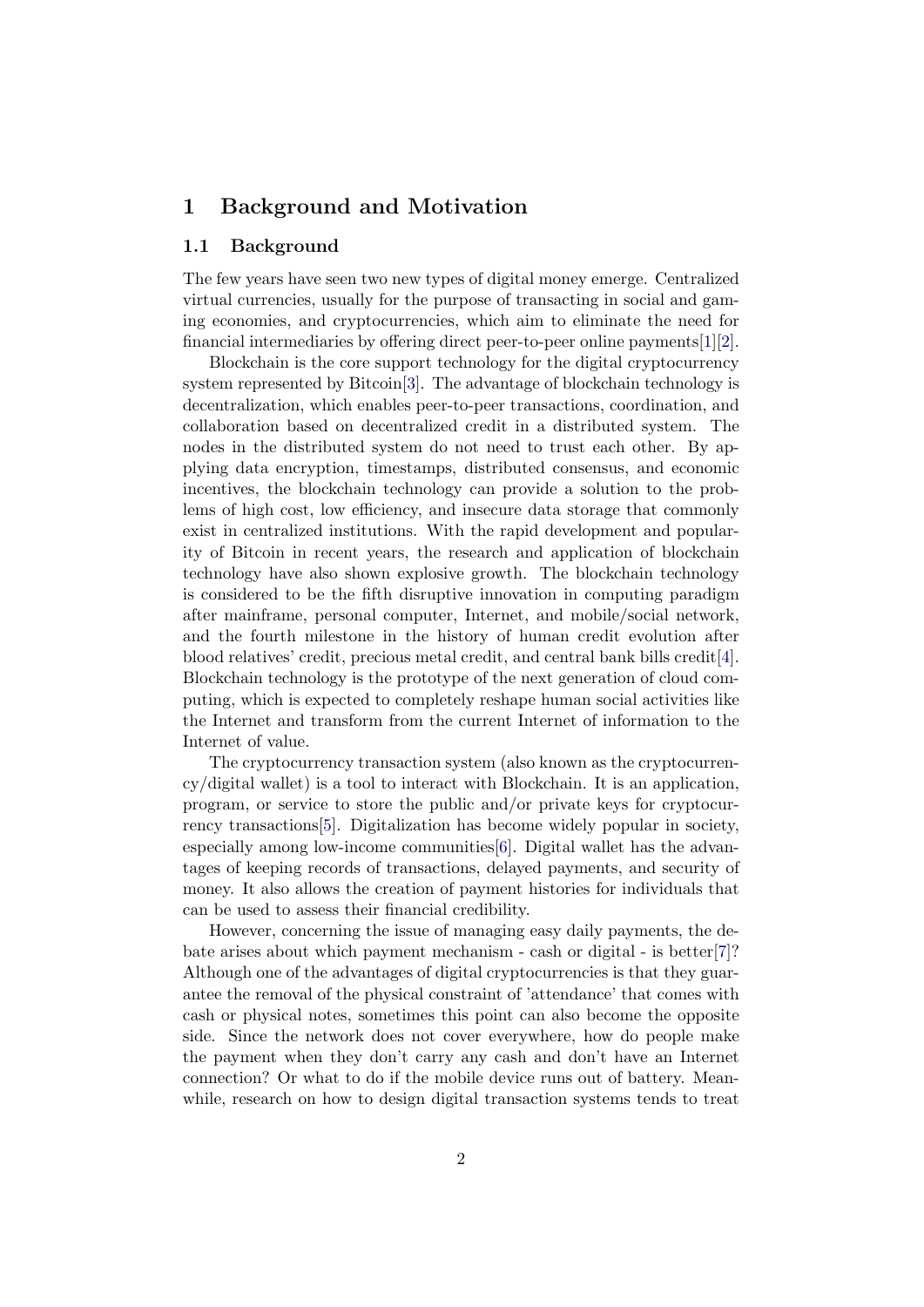# 1 Background and Motivation

#### 1.1 Background

The few years have seen two new types of digital money emerge. Centralized virtual currencies, usually for the purpose of transacting in social and gaming economies, and cryptocurrencies, which aim to eliminate the need for financial intermediaries by offering direct peer-to-peer online payments[\[1\]](#page-15-0)[\[2\]](#page-15-1).

Blockchain is the core support technology for the digital cryptocurrency system represented by Bitcoin[\[3\]](#page-15-2). The advantage of blockchain technology is decentralization, which enables peer-to-peer transactions, coordination, and collaboration based on decentralized credit in a distributed system. The nodes in the distributed system do not need to trust each other. By applying data encryption, timestamps, distributed consensus, and economic incentives, the blockchain technology can provide a solution to the problems of high cost, low efficiency, and insecure data storage that commonly exist in centralized institutions. With the rapid development and popularity of Bitcoin in recent years, the research and application of blockchain technology have also shown explosive growth. The blockchain technology is considered to be the fifth disruptive innovation in computing paradigm after mainframe, personal computer, Internet, and mobile/social network, and the fourth milestone in the history of human credit evolution after blood relatives' credit, precious metal credit, and central bank bills credit[\[4\]](#page-15-3). Blockchain technology is the prototype of the next generation of cloud computing, which is expected to completely reshape human social activities like the Internet and transform from the current Internet of information to the Internet of value.

The cryptocurrency transaction system (also known as the cryptocurrency/digital wallet) is a tool to interact with Blockchain. It is an application, program, or service to store the public and/or private keys for cryptocurrency transactions[\[5\]](#page-15-4). Digitalization has become widely popular in society, especially among low-income communities[\[6\]](#page-15-5). Digital wallet has the advantages of keeping records of transactions, delayed payments, and security of money. It also allows the creation of payment histories for individuals that can be used to assess their financial credibility.

However, concerning the issue of managing easy daily payments, the debate arises about which payment mechanism - cash or digital - is better[\[7\]](#page-15-6)? Although one of the advantages of digital cryptocurrencies is that they guarantee the removal of the physical constraint of 'attendance' that comes with cash or physical notes, sometimes this point can also become the opposite side. Since the network does not cover everywhere, how do people make the payment when they don't carry any cash and don't have an Internet connection? Or what to do if the mobile device runs out of battery. Meanwhile, research on how to design digital transaction systems tends to treat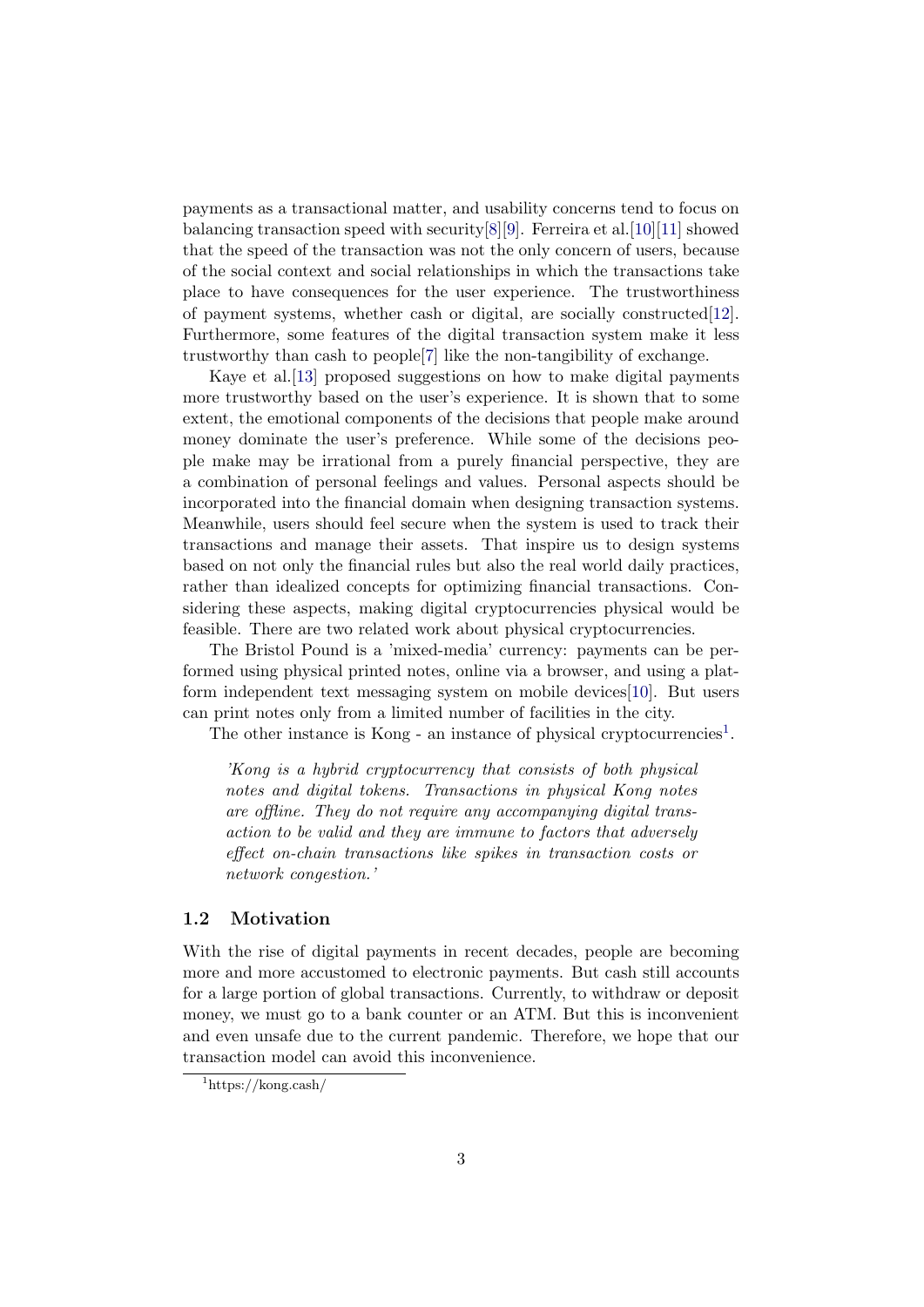payments as a transactional matter, and usability concerns tend to focus on balancing transaction speed with security[\[8\]](#page-15-7)[\[9\]](#page-15-8). Ferreira et al.[\[10\]](#page-15-9)[\[11\]](#page-15-10) showed that the speed of the transaction was not the only concern of users, because of the social context and social relationships in which the transactions take place to have consequences for the user experience. The trustworthiness of payment systems, whether cash or digital, are socially constructed[\[12\]](#page-16-0). Furthermore, some features of the digital transaction system make it less trustworthy than cash to people[\[7\]](#page-15-6) like the non-tangibility of exchange.

Kaye et al.[\[13\]](#page-16-1) proposed suggestions on how to make digital payments more trustworthy based on the user's experience. It is shown that to some extent, the emotional components of the decisions that people make around money dominate the user's preference. While some of the decisions people make may be irrational from a purely financial perspective, they are a combination of personal feelings and values. Personal aspects should be incorporated into the financial domain when designing transaction systems. Meanwhile, users should feel secure when the system is used to track their transactions and manage their assets. That inspire us to design systems based on not only the financial rules but also the real world daily practices, rather than idealized concepts for optimizing financial transactions. Considering these aspects, making digital cryptocurrencies physical would be feasible. There are two related work about physical cryptocurrencies.

The Bristol Pound is a 'mixed-media' currency: payments can be performed using physical printed notes, online via a browser, and using a platform independent text messaging system on mobile devices[\[10\]](#page-15-9). But users can print notes only from a limited number of facilities in the city.

The other instance is Kong - an instance of physical cryptocurrencies<sup>[1](#page-3-0)</sup>.

'Kong is a hybrid cryptocurrency that consists of both physical notes and digital tokens. Transactions in physical Kong notes are offline. They do not require any accompanying digital transaction to be valid and they are immune to factors that adversely effect on-chain transactions like spikes in transaction costs or network congestion.'

#### <span id="page-3-1"></span>1.2 Motivation

With the rise of digital payments in recent decades, people are becoming more and more accustomed to electronic payments. But cash still accounts for a large portion of global transactions. Currently, to withdraw or deposit money, we must go to a bank counter or an ATM. But this is inconvenient and even unsafe due to the current pandemic. Therefore, we hope that our transaction model can avoid this inconvenience.

<span id="page-3-0"></span> $1$ https://kong.cash/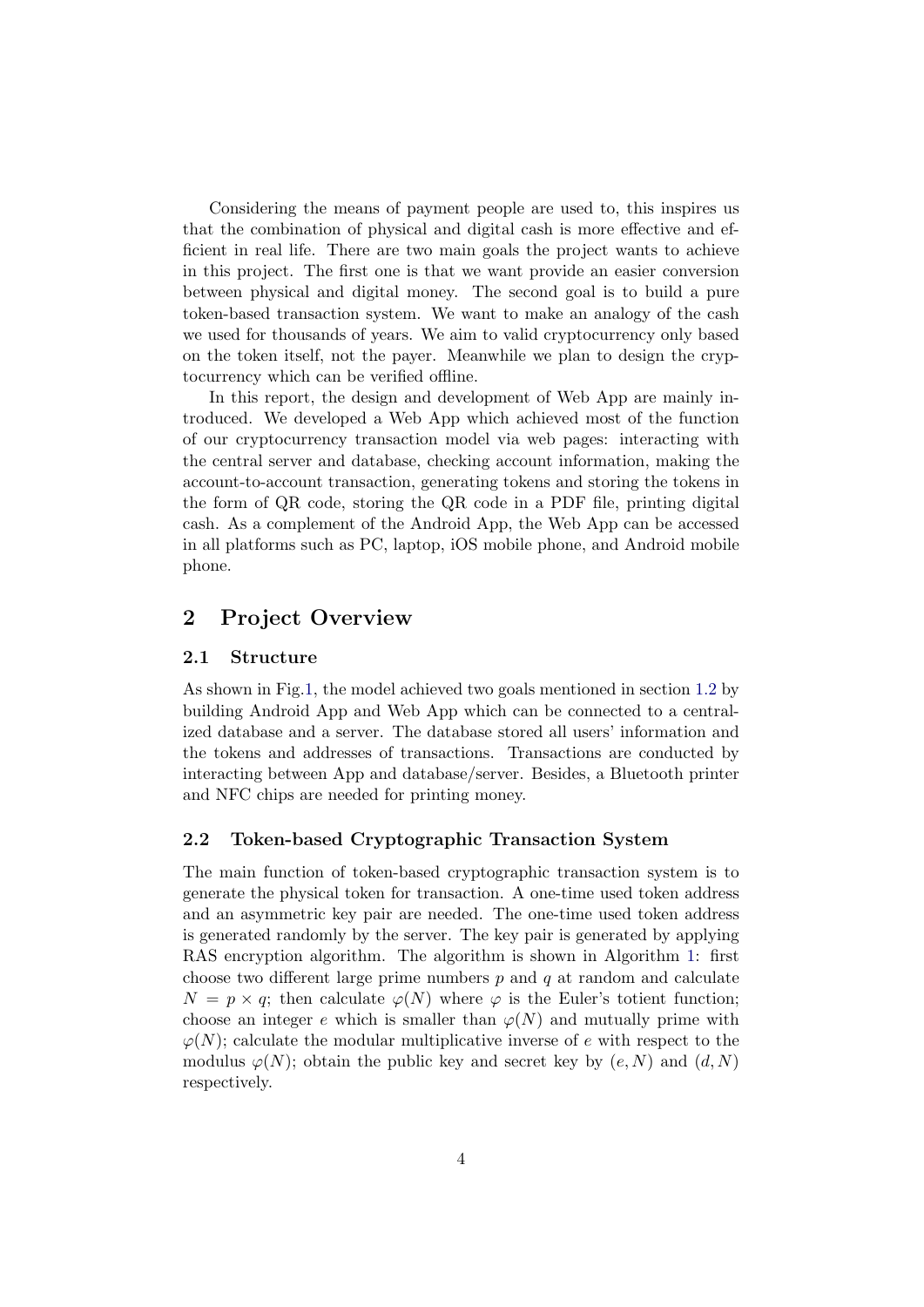Considering the means of payment people are used to, this inspires us that the combination of physical and digital cash is more effective and efficient in real life. There are two main goals the project wants to achieve in this project. The first one is that we want provide an easier conversion between physical and digital money. The second goal is to build a pure token-based transaction system. We want to make an analogy of the cash we used for thousands of years. We aim to valid cryptocurrency only based on the token itself, not the payer. Meanwhile we plan to design the cryptocurrency which can be verified offline.

In this report, the design and development of Web App are mainly introduced. We developed a Web App which achieved most of the function of our cryptocurrency transaction model via web pages: interacting with the central server and database, checking account information, making the account-to-account transaction, generating tokens and storing the tokens in the form of QR code, storing the QR code in a PDF file, printing digital cash. As a complement of the Android App, the Web App can be accessed in all platforms such as PC, laptop, iOS mobile phone, and Android mobile phone.

# <span id="page-4-0"></span>2 Project Overview

#### 2.1 Structure

As shown in Fig[.1,](#page-5-0) the model achieved two goals mentioned in section [1.2](#page-3-1) by building Android App and Web App which can be connected to a centralized database and a server. The database stored all users' information and the tokens and addresses of transactions. Transactions are conducted by interacting between App and database/server. Besides, a Bluetooth printer and NFC chips are needed for printing money.

#### 2.2 Token-based Cryptographic Transaction System

The main function of token-based cryptographic transaction system is to generate the physical token for transaction. A one-time used token address and an asymmetric key pair are needed. The one-time used token address is generated randomly by the server. The key pair is generated by applying RAS encryption algorithm. The algorithm is shown in Algorithm [1:](#page-5-1) first choose two different large prime numbers  $p$  and  $q$  at random and calculate  $N = p \times q$ ; then calculate  $\varphi(N)$  where  $\varphi$  is the Euler's totient function; choose an integer e which is smaller than  $\varphi(N)$  and mutually prime with  $\varphi(N)$ ; calculate the modular multiplicative inverse of e with respect to the modulus  $\varphi(N)$ ; obtain the public key and secret key by  $(e, N)$  and  $(d, N)$ respectively.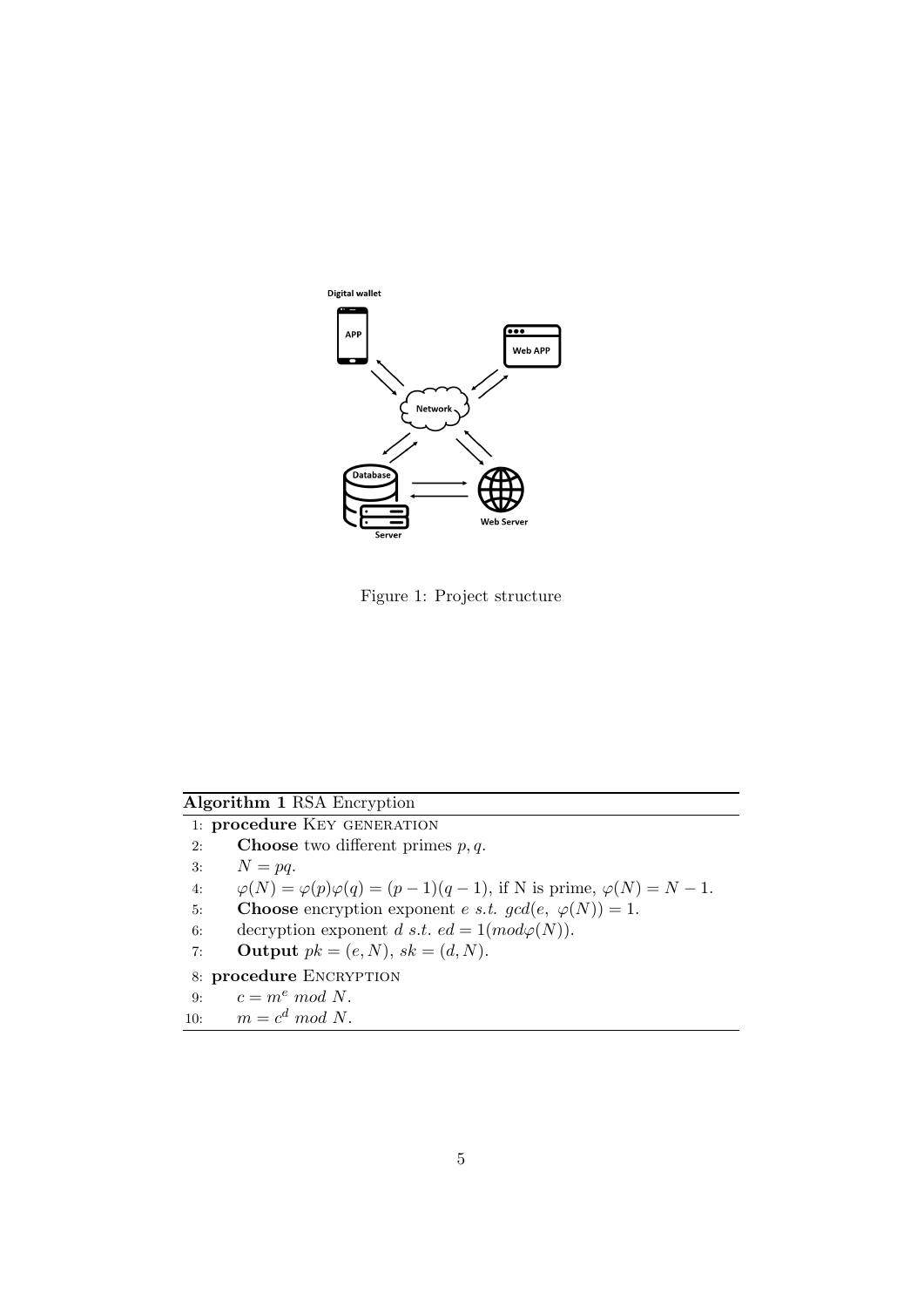

<span id="page-5-0"></span>Figure 1: Project structure

# Algorithm 1 RSA Encryption

<span id="page-5-1"></span>1: procedure KEY GENERATION

- 2: **Choose** two different primes  $p, q$ .
- 3:  $N = pq$ .
- 4:  $\varphi(N) = \varphi(p)\varphi(q) = (p-1)(q-1)$ , if N is prime,  $\varphi(N) = N 1$ .
- 5: Choose encryption exponent *e s.t.*  $gcd(e, \varphi(N)) = 1$ .
- 6: decryption exponent d s.t.  $ed = 1(mod \varphi(N)).$
- 7: **Output**  $pk = (e, N), sk = (d, N).$
- 8: procedure ENCRYPTION

9: 
$$
c = m^e \mod N.
$$

$$
10: \qquad m = c^d \mod N.
$$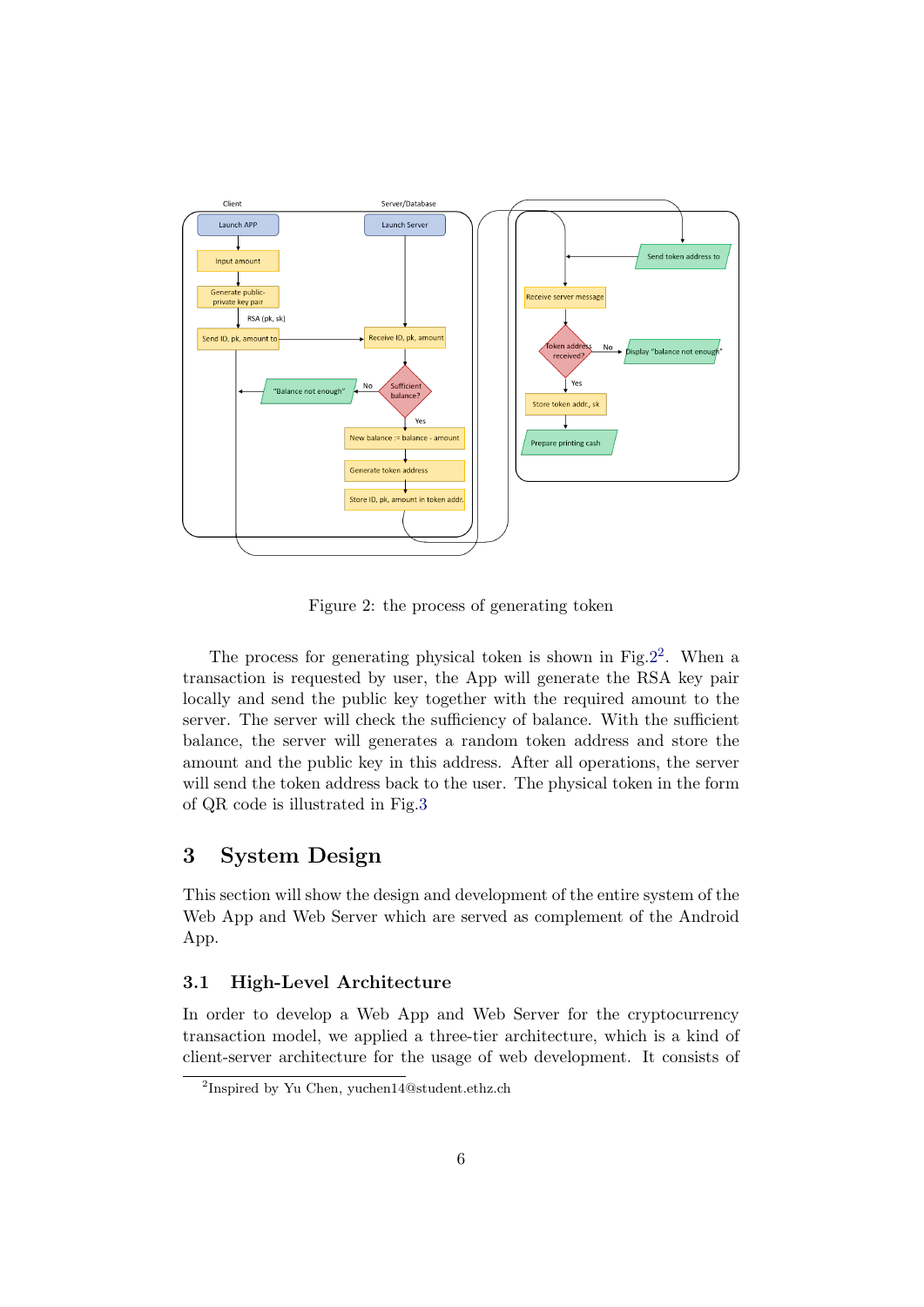

Figure 2: the process of generating token

<span id="page-6-0"></span>The process for generating physical token is shown in Fig.  $2^2$  $2^2$ . When a transaction is requested by user, the App will generate the RSA key pair locally and send the public key together with the required amount to the server. The server will check the sufficiency of balance. With the sufficient balance, the server will generates a random token address and store the amount and the public key in this address. After all operations, the server will send the token address back to the user. The physical token in the form of QR code is illustrated in Fig[.3](#page-7-0)

# 3 System Design

This section will show the design and development of the entire system of the Web App and Web Server which are served as complement of the Android App.

#### 3.1 High-Level Architecture

In order to develop a Web App and Web Server for the cryptocurrency transaction model, we applied a three-tier architecture, which is a kind of client-server architecture for the usage of web development. It consists of

<span id="page-6-1"></span><sup>2</sup> Inspired by Yu Chen, yuchen14@student.ethz.ch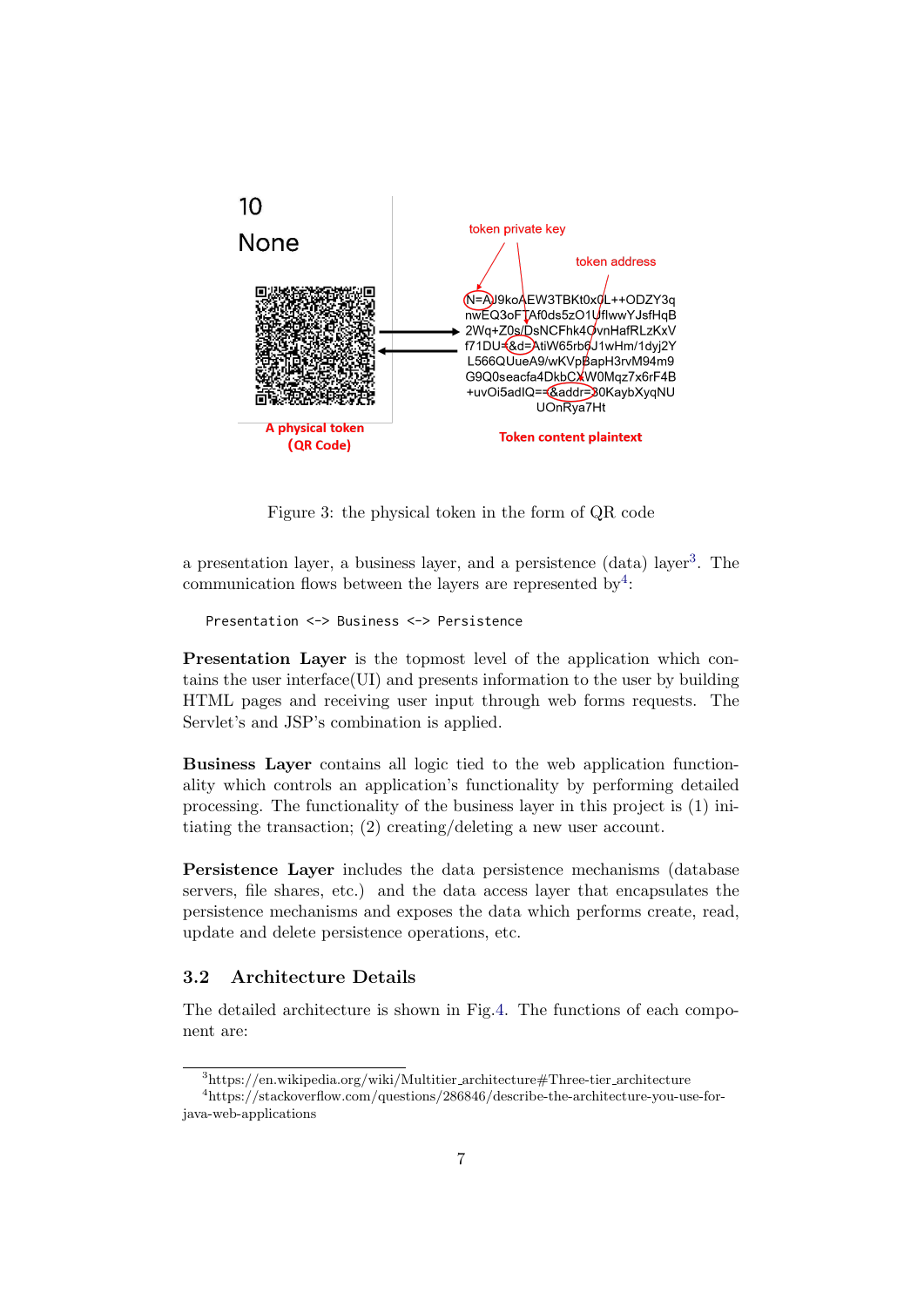

Figure 3: the physical token in the form of QR code

<span id="page-7-0"></span>a presentation layer, a business layer, and a persistence (data) layer<sup>[3](#page-7-1)</sup>. The communication flows between the layers are represented by<sup>[4](#page-7-2)</sup>:

```
Presentation <-> Business <-> Persistence
```
Presentation Layer is the topmost level of the application which contains the user interface(UI) and presents information to the user by building HTML pages and receiving user input through web forms requests. The Servlet's and JSP's combination is applied.

Business Layer contains all logic tied to the web application functionality which controls an application's functionality by performing detailed processing. The functionality of the business layer in this project is (1) initiating the transaction; (2) creating/deleting a new user account.

Persistence Layer includes the data persistence mechanisms (database servers, file shares, etc.) and the data access layer that encapsulates the persistence mechanisms and exposes the data which performs create, read, update and delete persistence operations, etc.

### 3.2 Architecture Details

The detailed architecture is shown in Fig[.4.](#page-8-0) The functions of each component are:

<span id="page-7-2"></span><span id="page-7-1"></span> $3$ https://en.wikipedia.org/wiki/Multitier\_architecture#Three-tier\_architecture

<sup>4</sup>https://stackoverflow.com/questions/286846/describe-the-architecture-you-use-forjava-web-applications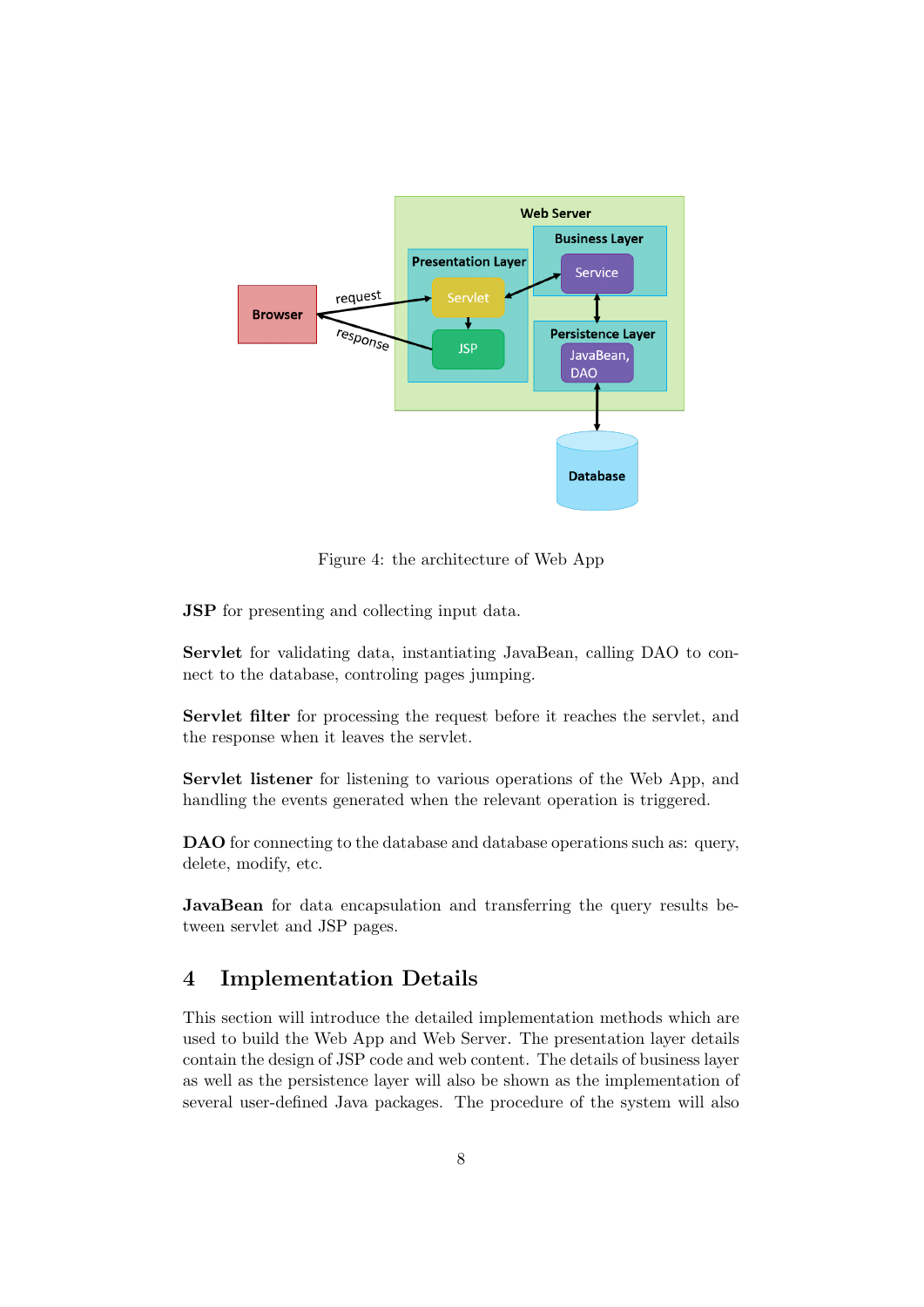

Figure 4: the architecture of Web App

<span id="page-8-0"></span>JSP for presenting and collecting input data.

Servlet for validating data, instantiating JavaBean, calling DAO to connect to the database, controling pages jumping.

Servlet filter for processing the request before it reaches the servlet, and the response when it leaves the servlet.

Servlet listener for listening to various operations of the Web App, and handling the events generated when the relevant operation is triggered.

DAO for connecting to the database and database operations such as: query, delete, modify, etc.

JavaBean for data encapsulation and transferring the query results between servlet and JSP pages.

## 4 Implementation Details

This section will introduce the detailed implementation methods which are used to build the Web App and Web Server. The presentation layer details contain the design of JSP code and web content. The details of business layer as well as the persistence layer will also be shown as the implementation of several user-defined Java packages. The procedure of the system will also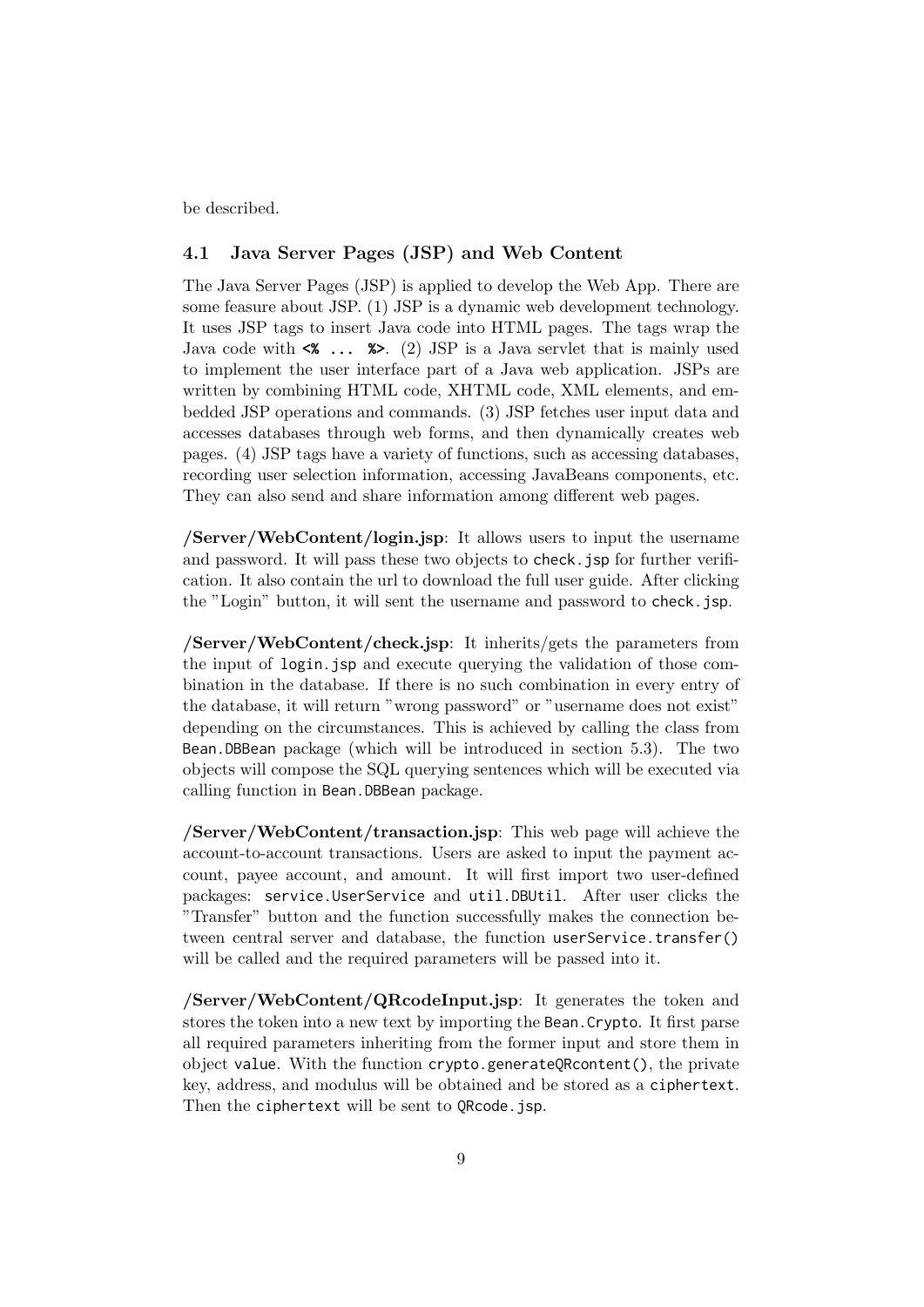be described.

## 4.1 Java Server Pages (JSP) and Web Content

The Java Server Pages (JSP) is applied to develop the Web App. There are some feasure about JSP. (1) JSP is a dynamic web development technology. It uses JSP tags to insert Java code into HTML pages. The tags wrap the Java code with **<% ... %>**. (2) JSP is a Java servlet that is mainly used to implement the user interface part of a Java web application. JSPs are written by combining HTML code, XHTML code, XML elements, and embedded JSP operations and commands. (3) JSP fetches user input data and accesses databases through web forms, and then dynamically creates web pages. (4) JSP tags have a variety of functions, such as accessing databases, recording user selection information, accessing JavaBeans components, etc. They can also send and share information among different web pages.

/Server/WebContent/login.jsp: It allows users to input the username and password. It will pass these two objects to check.jsp for further verification. It also contain the url to download the full user guide. After clicking the "Login" button, it will sent the username and password to check.jsp.

/Server/WebContent/check.jsp: It inherits/gets the parameters from the input of login.jsp and execute querying the validation of those combination in the database. If there is no such combination in every entry of the database, it will return "wrong password" or "username does not exist" depending on the circumstances. This is achieved by calling the class from Bean.DBBean package (which will be introduced in section 5.3). The two objects will compose the SQL querying sentences which will be executed via calling function in Bean.DBBean package.

/Server/WebContent/transaction.jsp: This web page will achieve the account-to-account transactions. Users are asked to input the payment account, payee account, and amount. It will first import two user-defined packages: service.UserService and util.DBUtil. After user clicks the "Transfer" button and the function successfully makes the connection between central server and database, the function userService.transfer() will be called and the required parameters will be passed into it.

/Server/WebContent/QRcodeInput.jsp: It generates the token and stores the token into a new text by importing the Bean.Crypto. It first parse all required parameters inheriting from the former input and store them in object value. With the function crypto.generateQRcontent(), the private key, address, and modulus will be obtained and be stored as a ciphertext. Then the ciphertext will be sent to QRcode.jsp.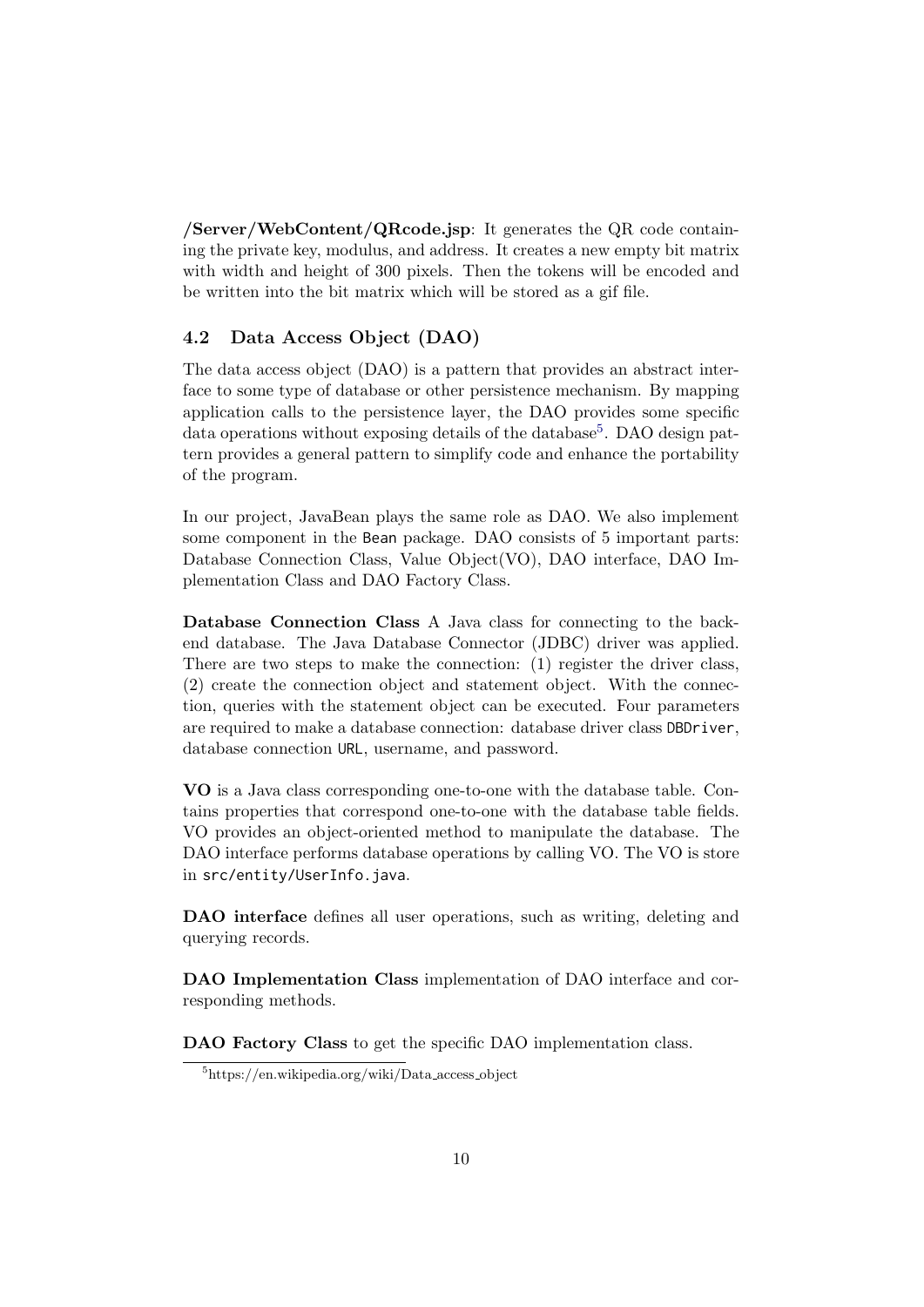/Server/WebContent/QRcode.jsp: It generates the QR code containing the private key, modulus, and address. It creates a new empty bit matrix with width and height of 300 pixels. Then the tokens will be encoded and be written into the bit matrix which will be stored as a gif file.

## 4.2 Data Access Object (DAO)

The data access object (DAO) is a pattern that provides an abstract interface to some type of database or other persistence mechanism. By mapping application calls to the persistence layer, the DAO provides some specific data operations without exposing details of the database<sup>[5](#page-10-0)</sup>. DAO design pattern provides a general pattern to simplify code and enhance the portability of the program.

In our project, JavaBean plays the same role as DAO. We also implement some component in the Bean package. DAO consists of 5 important parts: Database Connection Class, Value Object(VO), DAO interface, DAO Implementation Class and DAO Factory Class.

Database Connection Class A Java class for connecting to the backend database. The Java Database Connector (JDBC) driver was applied. There are two steps to make the connection: (1) register the driver class, (2) create the connection object and statement object. With the connection, queries with the statement object can be executed. Four parameters are required to make a database connection: database driver class DBDriver, database connection URL, username, and password.

VO is a Java class corresponding one-to-one with the database table. Contains properties that correspond one-to-one with the database table fields. VO provides an object-oriented method to manipulate the database. The DAO interface performs database operations by calling VO. The VO is store in src/entity/UserInfo.java.

DAO interface defines all user operations, such as writing, deleting and querying records.

DAO Implementation Class implementation of DAO interface and corresponding methods.

DAO Factory Class to get the specific DAO implementation class.

<span id="page-10-0"></span> $5$ https://en.wikipedia.org/wiki/Data\_access\_object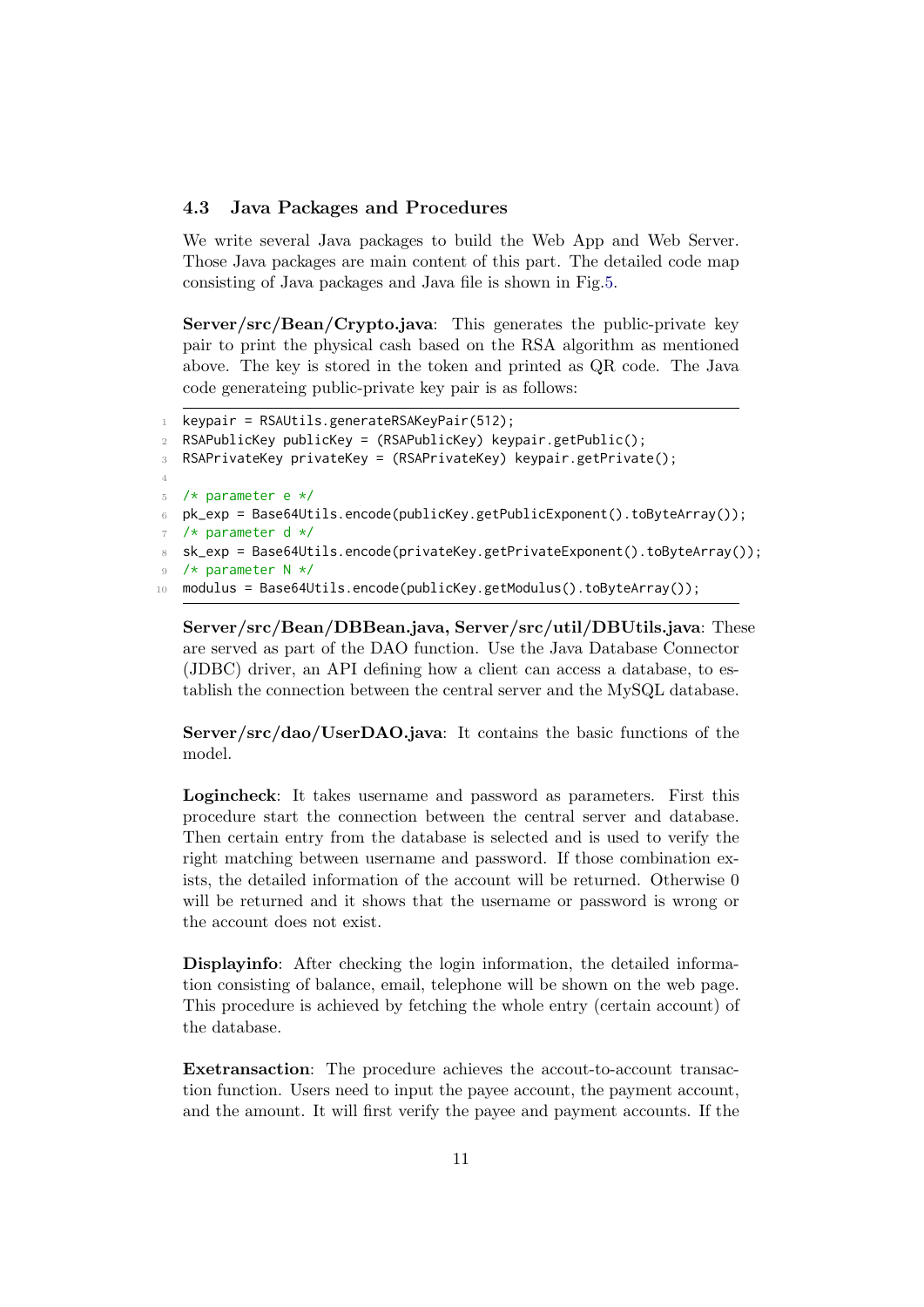#### 4.3 Java Packages and Procedures

We write several Java packages to build the Web App and Web Server. Those Java packages are main content of this part. The detailed code map consisting of Java packages and Java file is shown in Fig[.5.](#page-13-0)

Server/src/Bean/Crypto.java: This generates the public-private key pair to print the physical cash based on the RSA algorithm as mentioned above. The key is stored in the token and printed as QR code. The Java code generateing public-private key pair is as follows:

```
keypair = RSAUtils.generateRSAKeyPair(512);
2 RSAPublicKey publicKey = (RSAPublicKey) keypair.getPublic();
3 RSAPrivateKey privateKey = (RSAPrivateKey) keypair.getPrivate();
4
5 /* parameter e */
6 pk_exp = Base64Utils.encode(publicKey.getPublicExponent().toByteArray());
7 /* parameter d */
   sk_exp = Base64Utils.encode(privateKey.getPrivateExponent().toByteArray());
9 /* parameter N */
10 modulus = Base64Utils.encode(publicKey.getModulus().toByteArray());
```
Server/src/Bean/DBBean.java, Server/src/util/DBUtils.java: These are served as part of the DAO function. Use the Java Database Connector (JDBC) driver, an API defining how a client can access a database, to establish the connection between the central server and the MySQL database.

Server/src/dao/UserDAO.java: It contains the basic functions of the model.

Logincheck: It takes username and password as parameters. First this procedure start the connection between the central server and database. Then certain entry from the database is selected and is used to verify the right matching between username and password. If those combination exists, the detailed information of the account will be returned. Otherwise 0 will be returned and it shows that the username or password is wrong or the account does not exist.

Displayinfo: After checking the login information, the detailed information consisting of balance, email, telephone will be shown on the web page. This procedure is achieved by fetching the whole entry (certain account) of the database.

Exetransaction: The procedure achieves the accout-to-account transaction function. Users need to input the payee account, the payment account, and the amount. It will first verify the payee and payment accounts. If the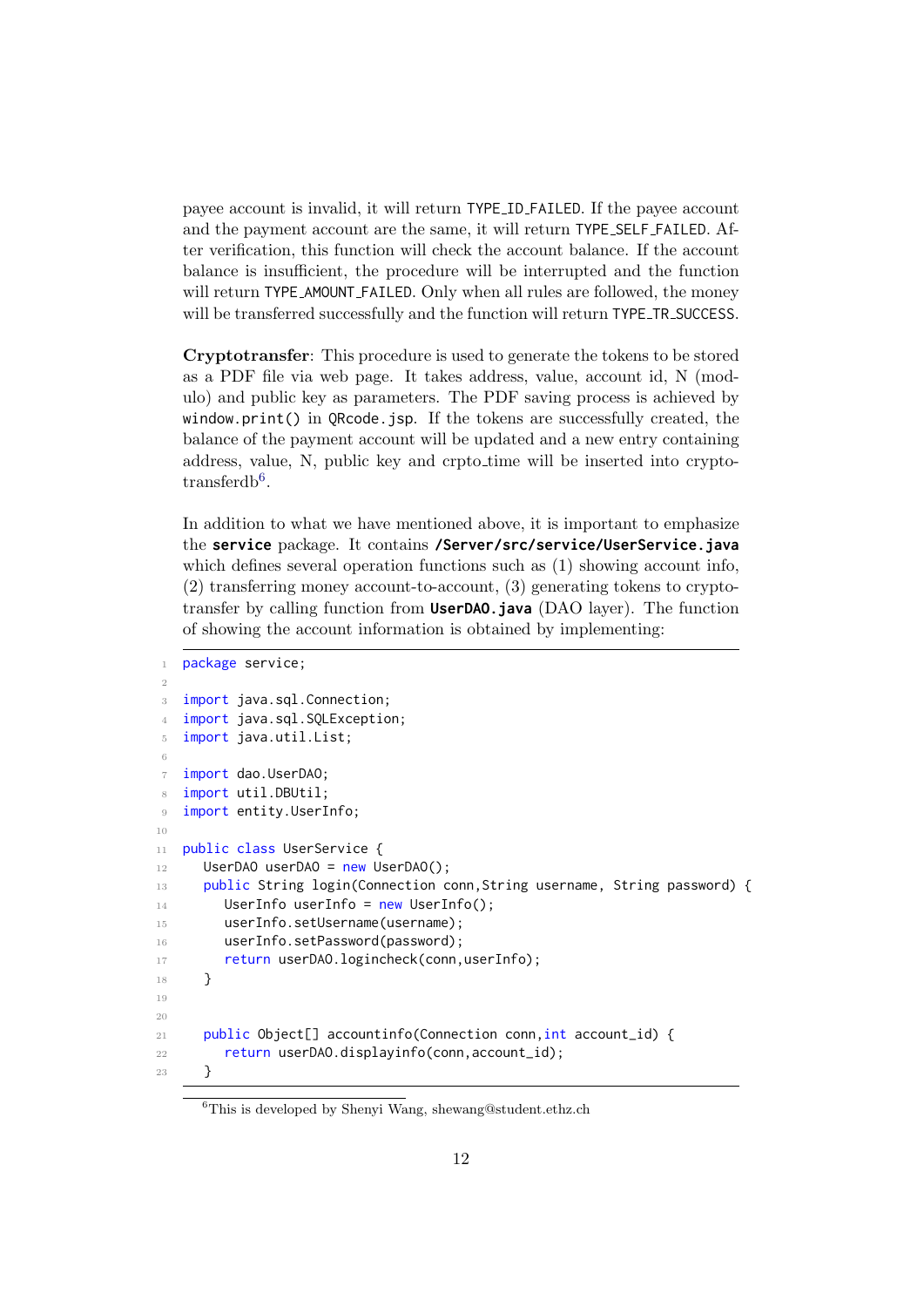payee account is invalid, it will return TYPE ID FAILED. If the payee account and the payment account are the same, it will return TYPE SELF FAILED. After verification, this function will check the account balance. If the account balance is insufficient, the procedure will be interrupted and the function will return TYPE\_AMOUNT\_FAILED. Only when all rules are followed, the money will be transferred successfully and the function will return TYPE\_TR\_SUCCESS.

Cryptotransfer: This procedure is used to generate the tokens to be stored as a PDF file via web page. It takes address, value, account id, N (modulo) and public key as parameters. The PDF saving process is achieved by window.print() in QRcode.jsp. If the tokens are successfully created, the balance of the payment account will be updated and a new entry containing address, value, N, public key and crpto time will be inserted into crypto- $transferdb<sup>6</sup>$  $transferdb<sup>6</sup>$  $transferdb<sup>6</sup>$ .

In addition to what we have mentioned above, it is important to emphasize the **service** package. It contains **/Server/src/service/UserService.java** which defines several operation functions such as  $(1)$  showing account info, (2) transferring money account-to-account, (3) generating tokens to cryptotransfer by calling function from **UserDAO.java** (DAO layer). The function of showing the account information is obtained by implementing:

```
1 package service;
2
   import java.sql.Connection;
   import java.sql.SQLException;
5 import java.util.List;
6
   import dao.UserDAO;
8 import util.DBUtil;
9 import entity.UserInfo;
10
11 public class UserService {
12 UserDAO userDAO = new UserDAO();
13 public String login(Connection conn, String username, String password) {
14 UserInfo userInfo = new UserInfo();
15 userInfo.setUsername(username);
16 userInfo.setPassword(password);
17 return userDAO.logincheck(conn,userInfo);
18 }
19
20
21 public Object[] accountinfo(Connection conn, int account_id) {
22 return userDAO.displayinfo(conn,account_id);
23 }
```
<span id="page-12-0"></span><sup>6</sup>This is developed by Shenyi Wang, shewang@student.ethz.ch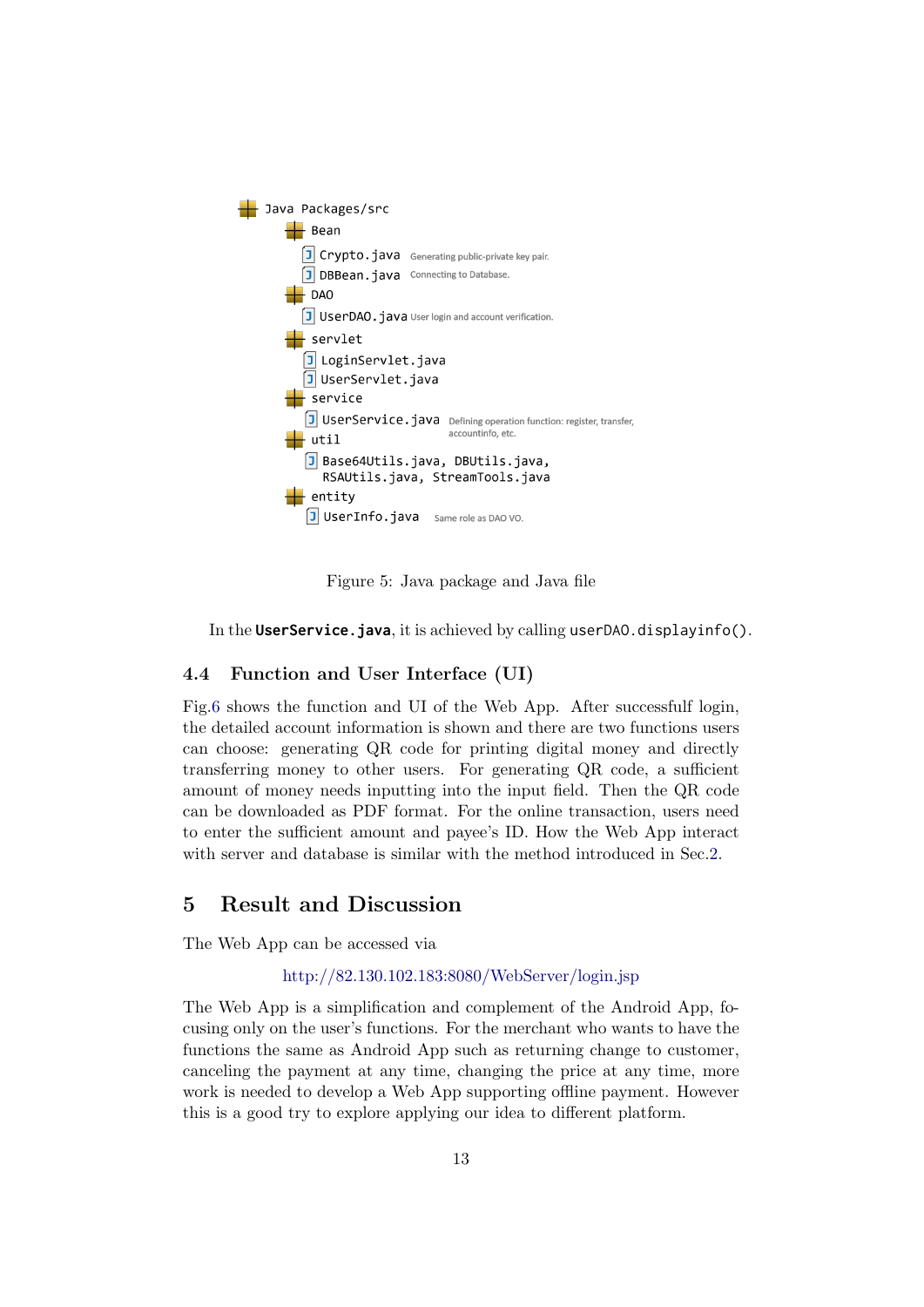

Figure 5: Java package and Java file

<span id="page-13-0"></span>In the **UserService.java**, it is achieved by calling userDAO.displayinfo().

#### 4.4 Function and User Interface (UI)

Fig[.6](#page-14-0) shows the function and UI of the Web App. After successfulf login, the detailed account information is shown and there are two functions users can choose: generating QR code for printing digital money and directly transferring money to other users. For generating QR code, a sufficient amount of money needs inputting into the input field. Then the QR code can be downloaded as PDF format. For the online transaction, users need to enter the sufficient amount and payee's ID. How the Web App interact with server and database is similar with the method introduced in Sec. 2.

# 5 Result and Discussion

The Web App can be accessed via

#### <http://82.130.102.183:8080/WebServer/login.jsp>

The Web App is a simplification and complement of the Android App, focusing only on the user's functions. For the merchant who wants to have the functions the same as Android App such as returning change to customer, canceling the payment at any time, changing the price at any time, more work is needed to develop a Web App supporting offline payment. However this is a good try to explore applying our idea to different platform.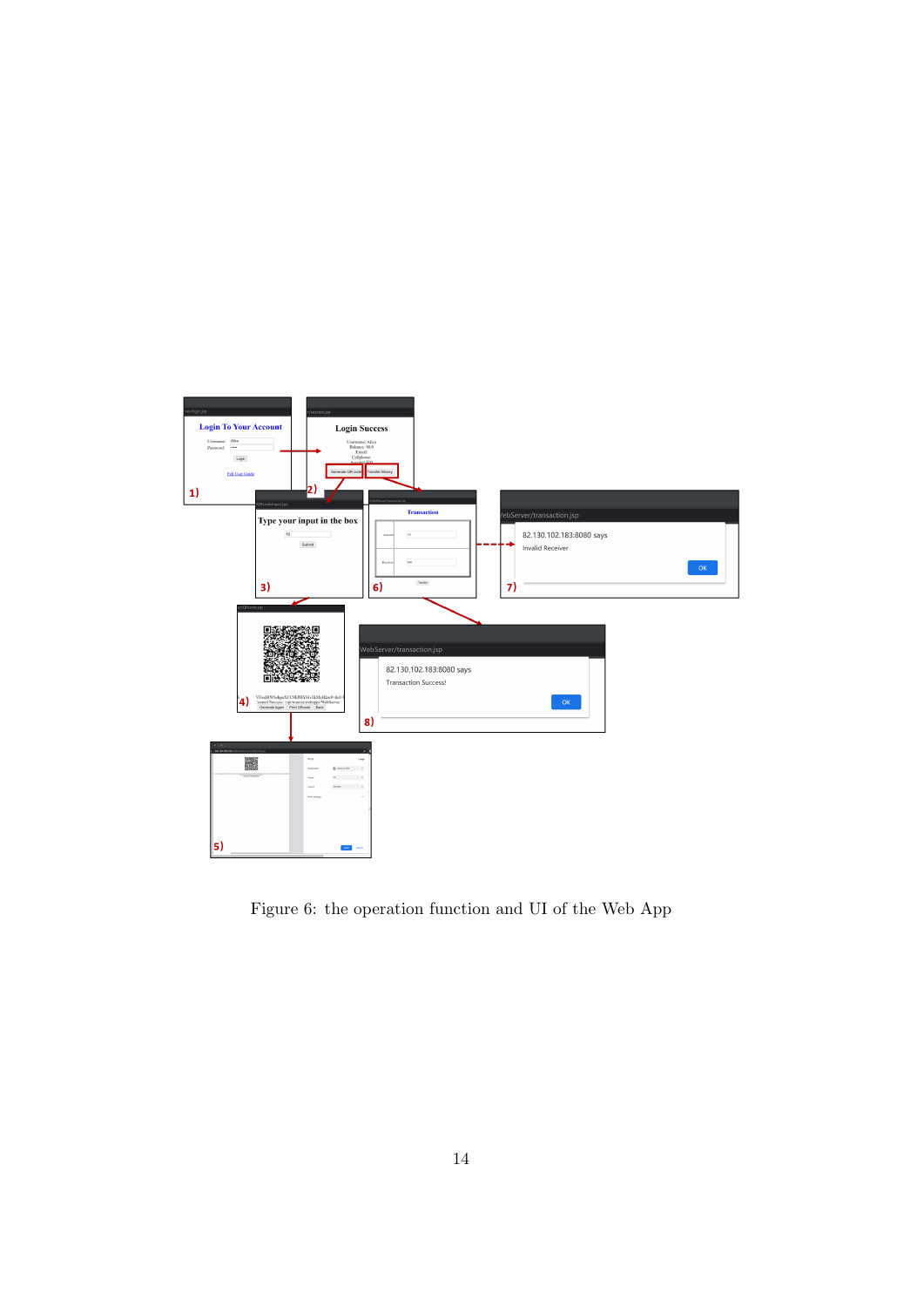<span id="page-14-0"></span>

Figure 6: the operation function and UI of the Web App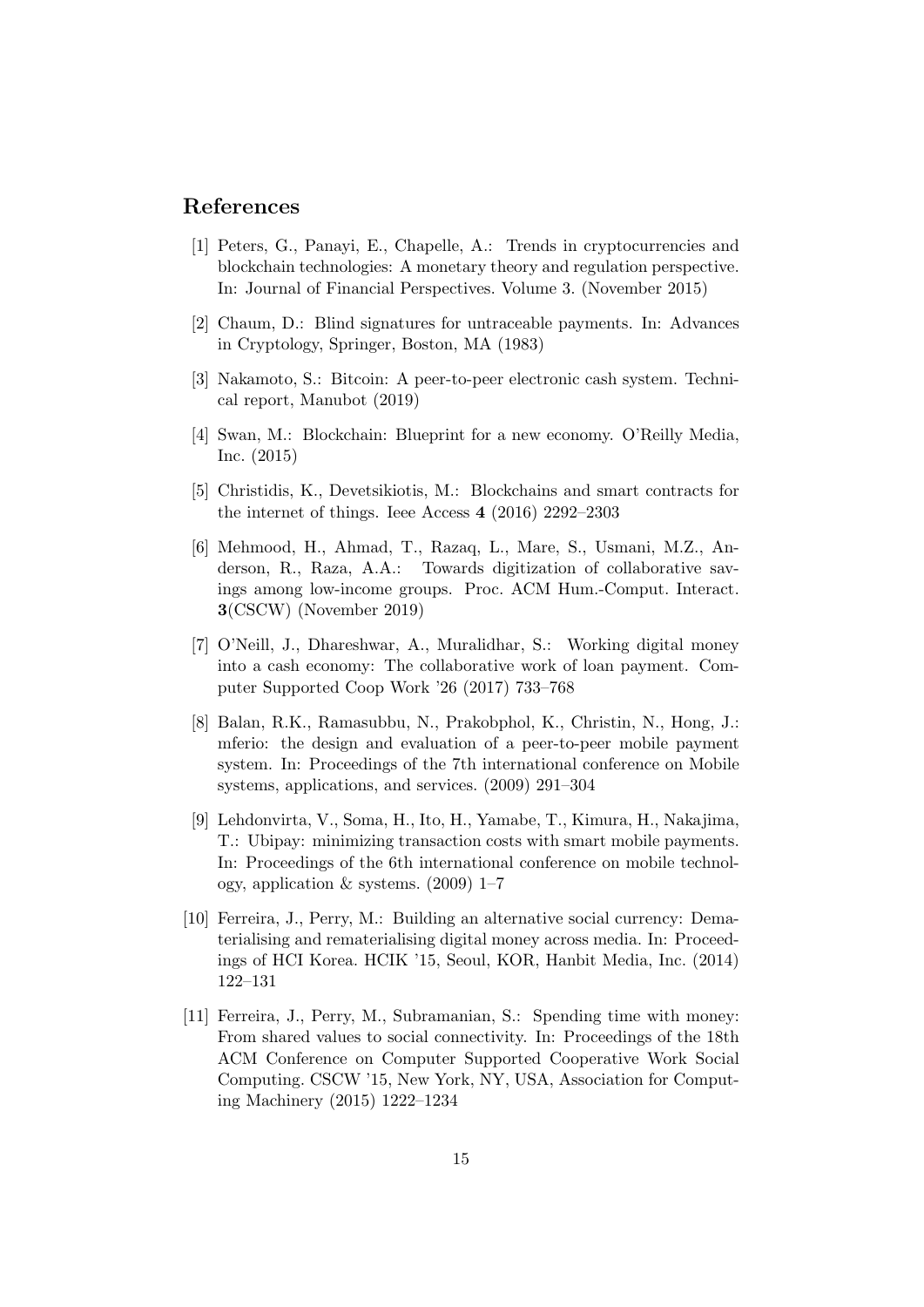## References

- <span id="page-15-0"></span>[1] Peters, G., Panayi, E., Chapelle, A.: Trends in cryptocurrencies and blockchain technologies: A monetary theory and regulation perspective. In: Journal of Financial Perspectives. Volume 3. (November 2015)
- <span id="page-15-1"></span>[2] Chaum, D.: Blind signatures for untraceable payments. In: Advances in Cryptology, Springer, Boston, MA (1983)
- <span id="page-15-2"></span>[3] Nakamoto, S.: Bitcoin: A peer-to-peer electronic cash system. Technical report, Manubot (2019)
- <span id="page-15-3"></span>[4] Swan, M.: Blockchain: Blueprint for a new economy. O'Reilly Media, Inc. (2015)
- <span id="page-15-4"></span>[5] Christidis, K., Devetsikiotis, M.: Blockchains and smart contracts for the internet of things. Ieee Access 4 (2016) 2292–2303
- <span id="page-15-5"></span>[6] Mehmood, H., Ahmad, T., Razaq, L., Mare, S., Usmani, M.Z., Anderson, R., Raza, A.A.: Towards digitization of collaborative savings among low-income groups. Proc. ACM Hum.-Comput. Interact. 3(CSCW) (November 2019)
- <span id="page-15-6"></span>[7] O'Neill, J., Dhareshwar, A., Muralidhar, S.: Working digital money into a cash economy: The collaborative work of loan payment. Computer Supported Coop Work '26 (2017) 733–768
- <span id="page-15-7"></span>[8] Balan, R.K., Ramasubbu, N., Prakobphol, K., Christin, N., Hong, J.: mferio: the design and evaluation of a peer-to-peer mobile payment system. In: Proceedings of the 7th international conference on Mobile systems, applications, and services. (2009) 291–304
- <span id="page-15-8"></span>[9] Lehdonvirta, V., Soma, H., Ito, H., Yamabe, T., Kimura, H., Nakajima, T.: Ubipay: minimizing transaction costs with smart mobile payments. In: Proceedings of the 6th international conference on mobile technology, application & systems. (2009) 1–7
- <span id="page-15-9"></span>[10] Ferreira, J., Perry, M.: Building an alternative social currency: Dematerialising and rematerialising digital money across media. In: Proceedings of HCI Korea. HCIK '15, Seoul, KOR, Hanbit Media, Inc. (2014) 122–131
- <span id="page-15-10"></span>[11] Ferreira, J., Perry, M., Subramanian, S.: Spending time with money: From shared values to social connectivity. In: Proceedings of the 18th ACM Conference on Computer Supported Cooperative Work Social Computing. CSCW '15, New York, NY, USA, Association for Computing Machinery (2015) 1222–1234